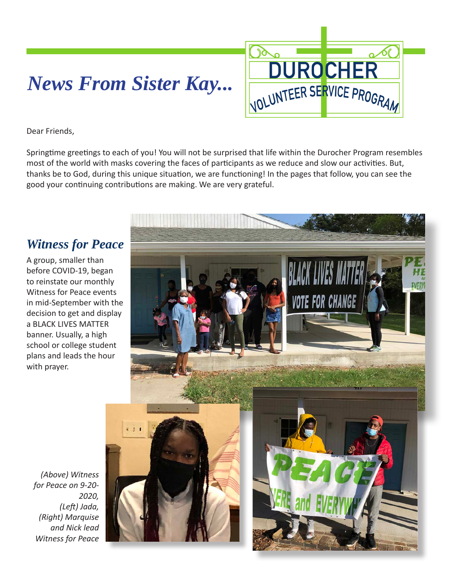# *News From Sister Kay...*



Dear Friends,

Springtime greetings to each of you! You will not be surprised that life within the Durocher Program resembles most of the world with masks covering the faces of participants as we reduce and slow our activities. But, thanks be to God, during this unique situation, we are functioning! In the pages that follow, you can see the good your continuing contributions are making. We are very grateful.

#### *Witness for Peace*

A group, smaller than before COVID-19, began to reinstate our monthly Witness for Peace events in mid-September with the decision to get and display a BLACK LIVES MATTER banner. Usually, a high school or college student plans and leads the hour with prayer.



*(Above) Witness for Peace on 9-20- 2020, (Left) Jada, (Right) Marquise and Nick lead Witness for Peace*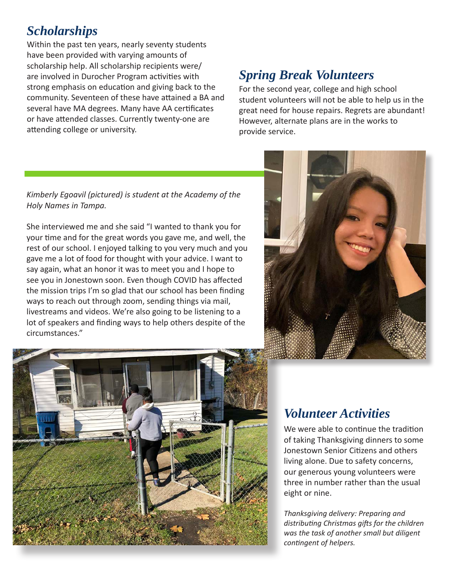## *Scholarships*

Within the past ten years, nearly seventy students have been provided with varying amounts of scholarship help. All scholarship recipients were/ are involved in Durocher Program activities with strong emphasis on education and giving back to the community. Seventeen of these have attained a BA and several have MA degrees. Many have AA certificates or have attended classes. Currently twenty-one are attending college or university.

# *Spring Break Volunteers*

For the second year, college and high school student volunteers will not be able to help us in the great need for house repairs. Regrets are abundant! However, alternate plans are in the works to provide service.

#### *Kimberly Egoavil (pictured) is student at the Academy of the Holy Names in Tampa.*

She interviewed me and she said "I wanted to thank you for your time and for the great words you gave me, and well, the rest of our school. I enjoyed talking to you very much and you gave me a lot of food for thought with your advice. I want to say again, what an honor it was to meet you and I hope to see you in Jonestown soon. Even though COVID has affected the mission trips I'm so glad that our school has been finding ways to reach out through zoom, sending things via mail, livestreams and videos. We're also going to be listening to a lot of speakers and finding ways to help others despite of the circumstances."





### *Volunteer Activities*

We were able to continue the tradition of taking Thanksgiving dinners to some Jonestown Senior Citizens and others living alone. Due to safety concerns, our generous young volunteers were three in number rather than the usual eight or nine.

*Thanksgiving delivery: Preparing and distributing Christmas gifts for the children was the task of another small but diligent contingent of helpers.*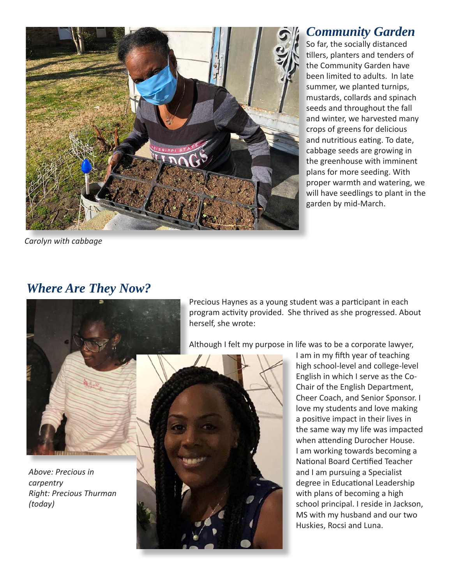

So far, the socially distanced tillers, planters and tenders of the Community Garden have been limited to adults. In late summer, we planted turnips, mustards, collards and spinach seeds and throughout the fall and winter, we harvested many crops of greens for delicious and nutritious eating. To date, cabbage seeds are growing in the greenhouse with imminent plans for more seeding. With proper warmth and watering, we will have seedlings to plant in the garden by mid-March. *Community Garden*

*Carolyn with cabbage*

### *Where Are They Now?*



*Above: Precious in carpentry Right: Precious Thurman (today)*

Precious Haynes as a young student was a participant in each program activity provided. She thrived as she progressed. About herself, she wrote:

Although I felt my purpose in life was to be a corporate lawyer,



I am in my fifth year of teaching high school-level and college-level English in which I serve as the Co-Chair of the English Department, Cheer Coach, and Senior Sponsor. I love my students and love making a positive impact in their lives in the same way my life was impacted when attending Durocher House. I am working towards becoming a National Board Certified Teacher and I am pursuing a Specialist degree in Educational Leadership with plans of becoming a high school principal. I reside in Jackson, MS with my husband and our two Huskies, Rocsi and Luna.